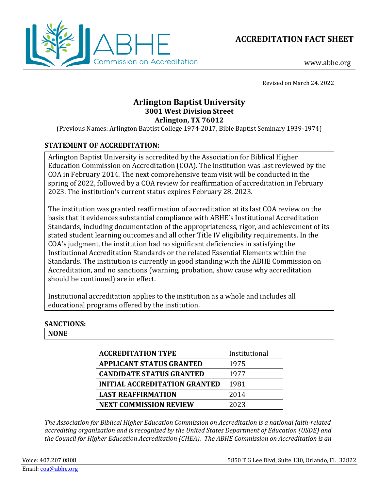



www.abhe.org

Revised on March 24, 2022

# **Arlington Baptist University 3001 West Division Street Arlington, TX 76012**

(Previous Names: Arlington Baptist College 1974-2017, Bible Baptist Seminary 1939-1974)

## **STATEMENT OF ACCREDITATION:**

Arlington Baptist University is accredited by the Association for Biblical Higher Education Commission on Accreditation (COA). The institution was last reviewed by the COA in February 2014. The next comprehensive team visit will be conducted in the spring of 2022, followed by a COA review for reaffirmation of accreditation in February 2023. The institution's current status expires February 28, 2023.

The institution was granted reaffirmation of accreditation at its last COA review on the basis that it evidences substantial compliance with ABHE's Institutional Accreditation Standards, including documentation of the appropriateness, rigor, and achievement of its stated student learning outcomes and all other Title IV eligibility requirements. In the COA's judgment, the institution had no significant deficiencies in satisfying the Institutional Accreditation Standards or the related Essential Elements within the Standards. The institution is currently in good standing with the ABHE Commission on Accreditation, and no sanctions (warning, probation, show cause why accreditation should be continued) are in effect.

Institutional accreditation applies to the institution as a whole and includes all educational programs offered by the institution.

## **SANCTIONS:**

**NONE**

| <b>ACCREDITATION TYPE</b>            | Institutional |
|--------------------------------------|---------------|
| <b>APPLICANT STATUS GRANTED</b>      | 1975          |
| <b>CANDIDATE STATUS GRANTED</b>      | 1977          |
| <b>INITIAL ACCREDITATION GRANTED</b> | 1981          |
| <b>LAST REAFFIRMATION</b>            | 2014          |
| <b>NEXT COMMISSION REVIEW</b>        | 2023          |

*The Association for Biblical Higher Education Commission on Accreditation is a national faith-related accrediting organization and is recognized by the United States Department of Education (USDE) and the Council for Higher Education Accreditation (CHEA). The ABHE Commission on Accreditation is an*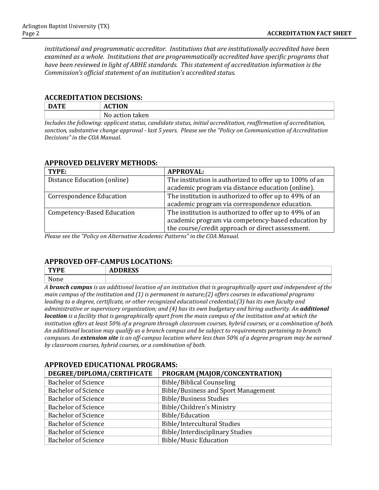*institutional and programmatic accreditor. Institutions that are institutionally accredited have been examined as a whole. Institutions that are programmatically accredited have specific programs that have been reviewed in light of ABHE standards. This statement of accreditation information is the Commission's official statement of an institution's accredited status.* 

#### **ACCREDITATION DECISIONS:**

| <b>DATE</b>                                                                                            | <b>ACTION</b>                                                                                     |
|--------------------------------------------------------------------------------------------------------|---------------------------------------------------------------------------------------------------|
|                                                                                                        | No action taken                                                                                   |
| $\mathbf{r}$ , $\mathbf{r}$ , $\mathbf{r}$ , $\mathbf{r}$ , $\mathbf{r}$ , $\mathbf{r}$ , $\mathbf{r}$ | $\sim$ $\sim$ $\sim$ $\sim$<br>$\cdots$<br>$\mathbf{r}$ . The set of $\mathbf{r}$<br>$\mathbf{r}$ |

*Includes the following: applicant status, candidate status, initial accreditation, reaffirmation of accreditation, sanction, substantive change approval - last 5 years. Please see the "Policy on Communication of Accreditation Decisions" in the COA Manual.*

#### **APPROVED DELIVERY METHODS:**

| TYPE:                             | <b>APPROVAL:</b>                                        |
|-----------------------------------|---------------------------------------------------------|
| Distance Education (online)       | The institution is authorized to offer up to 100% of an |
|                                   | academic program via distance education (online).       |
| <b>Correspondence Education</b>   | The institution is authorized to offer up to 49% of an  |
|                                   | academic program via correspondence education.          |
| <b>Competency-Based Education</b> | The institution is authorized to offer up to 49% of an  |
|                                   | academic program via competency-based education by      |
|                                   | the course/credit approach or direct assessment.        |

*Please see the "Policy on Alternative Academic Patterns" in the COA Manual.*

## **APPROVED OFF-CAMPUS LOCATIONS:**

| <b>TWDF</b> | <b>DDDDCC</b><br>ADDINEJJ |                  |   |                   |              |                      |
|-------------|---------------------------|------------------|---|-------------------|--------------|----------------------|
| None        |                           |                  |   |                   |              |                      |
| . .         | $\cdots$<br>$\mathbf{v}$  | $\sim$<br>$\sim$ | . | .<br>$\mathbf{r}$ | $\mathbf{r}$ | $\sim$ $\sim$ $\sim$ |

*A branch campus is an additional location of an institution that is geographically apart and independent of the main campus of the institution and (1) is permanent in nature;(2) offers courses in educational programs leading to a degree, certificate, or other recognized educational credential;(3) has its own faculty and administrative or supervisory organization; and (4) has its own budgetary and hiring authority. An additional location is a facility that is geographically apart from the main campus of the institution and at which the institution offers at least 50% of a program through classroom courses, hybrid courses, or a combination of both. An additional location may qualify as a branch campus and be subject to requirements pertaining to branch campuses. An extension site is an off-campus location where less than 50% of a degree program may be earned by classroom courses, hybrid courses, or a combination of both.*

## **DEGREE/DIPLOMA/CERTIFICATE PROGRAM (MAJOR/CONCENTRATION)** Bachelor of Science<br>
Bible/Biblical Counseling<br>
Bachelor of Science<br>
Bible/Business and Sport Bachelor of Science<br>Bible/Business and Sport Management<br>Bible/Business Studies Bachelor of Science<br>
Bible/Business Studies<br>
Bachelor of Science<br>
Bible/Children's Minist Bible/Children's Ministry<br>Bible/Education Bachelor of Science<br>Bachelor of Science Bachelor of Science<br>
Bible/Intercultural Studies<br>
Bible/Interdisciplinary Studies Bachelor of Science<br>
Bible/Interdisciplinary Studies<br>
Bible/Music Education<br>
Bible/Music Education Bible/Music Education

## **APPROVED EDUCATIONAL PROGRAMS:**